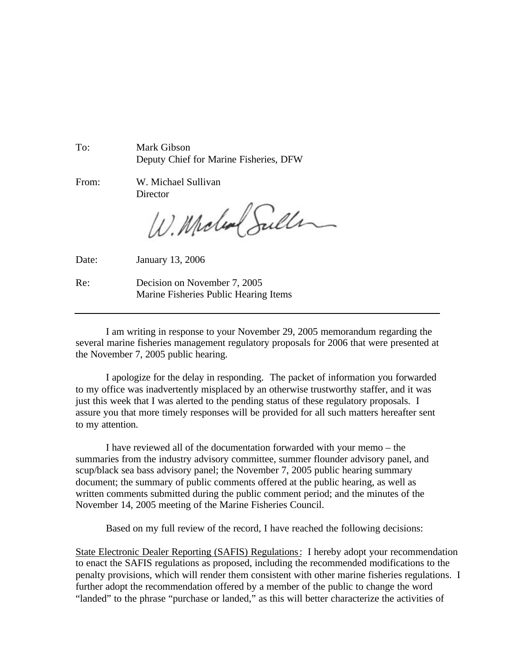To: Mark Gibson Deputy Chief for Marine Fisheries, DFW

From: W. Michael Sullivan

**Director** 

W. Moles Suller

Date: January 13, 2006

Re: Decision on November 7, 2005 Marine Fisheries Public Hearing Items

I am writing in response to your November 29, 2005 memorandum regarding the several marine fisheries management regulatory proposals for 2006 that were presented at the November 7, 2005 public hearing.

I apologize for the delay in responding. The packet of information you forwarded to my office was inadvertently misplaced by an otherwise trustworthy staffer, and it was just this week that I was alerted to the pending status of these regulatory proposals. I assure you that more timely responses will be provided for all such matters hereafter sent to my attention.

I have reviewed all of the documentation forwarded with your memo – the summaries from the industry advisory committee, summer flounder advisory panel, and scup/black sea bass advisory panel; the November 7, 2005 public hearing summary document; the summary of public comments offered at the public hearing, as well as written comments submitted during the public comment period; and the minutes of the November 14, 2005 meeting of the Marine Fisheries Council.

Based on my full review of the record, I have reached the following decisions:

State Electronic Dealer Reporting (SAFIS) Regulations: I hereby adopt your recommendation to enact the SAFIS regulations as proposed, including the recommended modifications to the penalty provisions, which will render them consistent with other marine fisheries regulations. I further adopt the recommendation offered by a member of the public to change the word "landed" to the phrase "purchase or landed," as this will better characterize the activities of